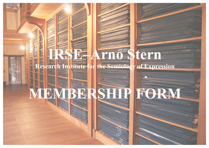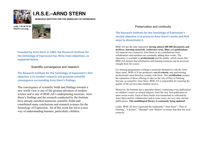

# **I.R.S.E.–ARNO STERN**

**RESEARCH INSTITUTE FOR THE SEMIOLOGY OF EXPRESSION**





Founded by Arno Stern in 1985, the Research Institute for the Semiology of Expression has three main objectives, as **explained below.** 

#### Scientific convergence and research

**The Research Institute for the Semiology of Expression's first objective is to conduct research and promote scientific convergence surrounding Arno Stern's findings.** 

The convergence of scientific fields and findings towards a new world view is one of the greatest advances of modern science and is one of IRSE-AS's underpinning missions. Arno Stern's findings and the research conducted by the Institute have already enriched numerous scientific fields and contributed many conclusions and research avenues for the Semiology of Expression. All of this work has led to a new way of understanding humans, particularly children.

#### Preservation and continuity

The Research Institute for the Semiology of Expression's second objective is to preserve Arno Stern's works and find ways to disseminate it.

IRSE-AS has the only repository **storing almost 600 000 documents and archives**, **learning materials**, **conference texts, films** and **publications**. All material was created by Arno Stern or are contributions from collaborators and members are constantly adding their works. The repository is available to **professionals** and the public, which means that IRSE**-**AS ensures that information and training resources can be accessed straight from the source.

For training programmes wishing to associate themselves with the Arno Stern name, IRSE**-**A.S has produced a **set of criteria**, and said training professionals must therefore comply with them. This **certification** ensures the reputation of those offering to take on the role of Play of Painting Servant, as coined by Arno Stern. IRSE-AS is responsible for ensuring the quality of the services that children receive.

Moreover, the Institute has a specialist library, containing every publication on children's traces or related subjects, from the very first publication to more recent works. Each of these books was researched or collected by Arno Stern and his collaborators and in some cases, are very rare, ancient publications. **This multilingual library is constantly being updated.**

Lastly, IRSE-AS have registered the trademarks "Arno Stern", "Play of Painting", "Closlieu", "Malspiel" and "Malort" to ensure that they are used correctly.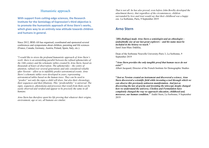## Humanistic approach

**With support from cutting-edge sciences, the Research Institute for the Semiology of Expression's third objective is** to promote the humanistic approach of Arno Stern's works, which gives way to an entirely new attitude towards children and humans in general.

Since 2012, IRSE-AS has organised, coordinated and sponsored several conferences and symposiums about children, parenting and life sciences (France, Canada, Germany, Austria, Poland, Spain, Italy, etc.).

"*I would like to stress the profound humanistic approach of Arno Stern's work: there is an astonishing parallel between the refined ephemerides of the 14th century and the schematic tables created by Arno Stern, based on thousands of hours of observation. The ephemerides – the centre of attention, refined over several generations and only considered reliable after Newton – allow us to infallibly predict astronomical events. Arno Stern's schematic tables were developed in years, representing astronomical tables based on the human trace. They can be used to "predict" not only the signs a child will draw, but also their chronology, their sequences and their filiations. This "predictability" is universal. The signs, sequences, phenomena and processes that result from them can be easily observed and verified and appear to be precisely the same in all humans.*

*Arno Stern has therefore spent his life proving that whatever their origins, environment, age or sex, all humans are similar.*

*That is not all: he has also proved, even before John Bowlby developed the attachment theory, that regardless of the circumstances, children surrounded by love and trust would say that their childhood was a happy one.* La Sorbonne, Paris, 9 September 2019

# **Arno Stern**

*"[His findings] made Arno Stern a semiologist and an ethnologist – undoubtedly one of our last great explorers – and his name must be included in the history we teach."* Jamil Jean-Marc Dakhlia,

Dean of the Sorbonne Nouvelle University-Paris 3, La Sorbonne, 9 September 2019

*"Arno Stern provides the only tangible proof that human races do not exist!"* Albert Jacquard, Director of the French Institute for Demographic Studies

**"***Just as Newton created an instrument and discovered a science, Arno Stern discovered a scientific field while inventing a tool through which we can observe this previously unknown manifestation. And just as discovering the law of gravity and inventing the telescope deeply changed how we understand the universe, Closlieu and Formulation have completely changed the way we approach education, childhood and, moreover, our human condition."* André Stern, La Sorbonne, 9 September 2019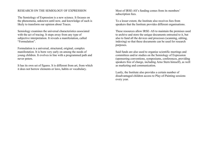#### RESEARCH ON THE SEMIOLOGY OF EXPRESSION

The Semiology of Expression is a new science. It focuses on the phenomena, unknown until now, and knowledge of such is likely to transform our opinion about Traces.

Semiology examines the universal characteristics associated with the act of tracing. It steps away from any type of subjective interpretation. It reveals a manifestation, called "Formulation".

Formulation is a universal, structured, original, complex manifestation. It is born very early on among the needs of young children. It evolves in line with a programmed path and never peters.

It has its own set of figures. It is different from art, from which it does not borrow elements or laws, habits or vocabulary.

Most of IRSE-AS's funding comes from its members' subscription fees.

To a lesser extent, the Institute also receives fees from speakers that the Institute provides different organisations.

These resources allow IRSE–AS to maintain the premises used to archive and store the unique documents entrusted to it, but also to fund all the devices and processes (scanning, editing, indexing) so that these documents can be used for research purposes.

Said funds are also used to organise scientific meetings and committees and/or studies on the Semiology of Expression (sponsoring conventions, symposiums, conferences, providing speakers free of charge, including Arno Stern himself), as well as marketing and communication.

Lastly, the Institute also provides a certain number of disadvantaged children access to Play-of-Painting sessions every year.